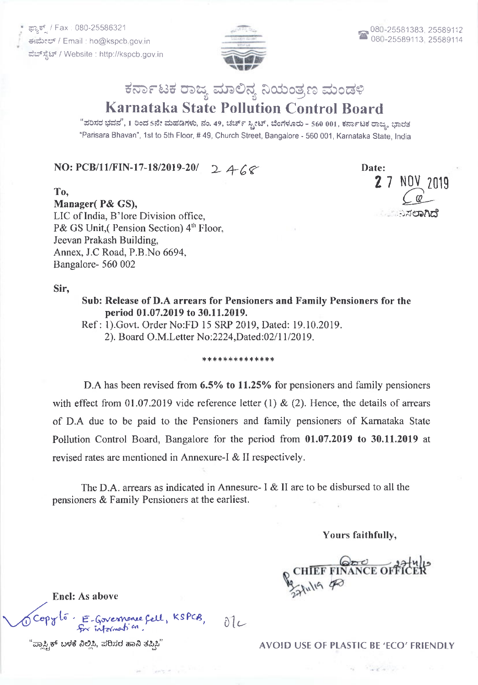ಫ್<mark>ಯಾ</mark>ಕ್ಸ್ / Fax : 080-25586321 ಈಮೇಲ್ / Email : ho@kspcb gov in ವೆಬ್ ಸೈಟ್ / Website : http://kspcb.gov.in



## ಕರ್ನಾಟಕ ರಾಜ್ಯ ಮಾಲಿನ್ಯ ನಿಯಂತ್ರಣ ಮಂಡಳಿ Karnataka State Pollution Control Board

"ಪರಿಸರ ಭವನ", 1 ರಿಂದ 5ನೇ ಮಹಡಿಗಳು, ನಂ. 49, ಚರ್ಚ್ ಸ್ಟೀಟ್, ಬೆಂಗಳೂರು - 560 001, ಕರ್ನಾಟಕ ರಾಜ್ಯ, ಭಾರತ

"Parisara Bhavan", 1st to 5th Floor, # 49, Church Street, Bangalore - 560 001, Karnataka State, lndia

## NO: PCB/11/FIN-17-18/2019-20/ 2  $468$

Date: **2** 7 NOV 2019  $\sqrt{\mathbb{Q}}$ .:,rerlRd

Manager( P& GS), LIC of India, B'lore Division office, P& GS Unit,( Pension Section) 4'h Floor, Jeevan Prakash Building, Annex, J.C Road, P.B.No 6694, Bangalore- 560 002

Sir,

To,

Sub: Release of D.A arrears for Pensioners and Family Pensioners for the period 01.07.2019 to 30.I1.2019.

Ref : 1). Govt. Order No:FD 15 SRP 2019, Dated: 19.10.2019. 2). Board O.M.Letter No:2224,Dated:02/11/2019.

## \*\*\*\*\*\*\*\*\*\*\*\*\*

D.A has been revised from 6.5% to 11.25% for pensioners and family pensioners with effect from 01.07.2019 vide reference letter (1)  $\&$  (2). Hence, the details of arrears of D.A due to be paid to the Pensioners and family pensioners of Kamataka State Pollution Control Board, Bangalore for the period from 01.07.2019 to 30.11.2019 at revised rates are mentioned in Annexure-I & II respectively.

The D.A. arrears as indicated in Annesure- I & II are to be disbursed to all the pensioners & Family Pensioners at the earliest.

 $\delta$ l $\epsilon$ 

Yours faithfully,

CHIEF FINANCE OFFIC

Encl: As above

Tcopyto. E-Governonce fell, KSPCB,

"ಪ್ಲಾಸ್ಟ್ರಿಕ್ ಬಳಕೆ ನಿಲ್ಲಿಸಿ, ಪರಿಸರ ಹಾನಿ ತಪ್ಪಿಸಿ" AVOID USE OF PLASTIC BE 'ECO' FRIENDLY

 $\label{eq:2.1} \mathcal{L}=\mathcal{L}^2+\mathcal{L}^2+\mathcal{L}^2+\mathcal{L}^2+\mathcal{L}^2+\mathcal{L}^2+\mathcal{L}^2+\mathcal{L}^2+\mathcal{L}^2+\mathcal{L}^2+\mathcal{L}^2+\mathcal{L}^2+\mathcal{L}^2+\mathcal{L}^2+\mathcal{L}^2+\mathcal{L}^2+\mathcal{L}^2+\mathcal{L}^2+\mathcal{L}^2+\mathcal{L}^2+\mathcal{L}^2+\mathcal{L}^2+\mathcal{L}^2+\mathcal{L}^2+\mathcal{L}^2+\mathcal{L$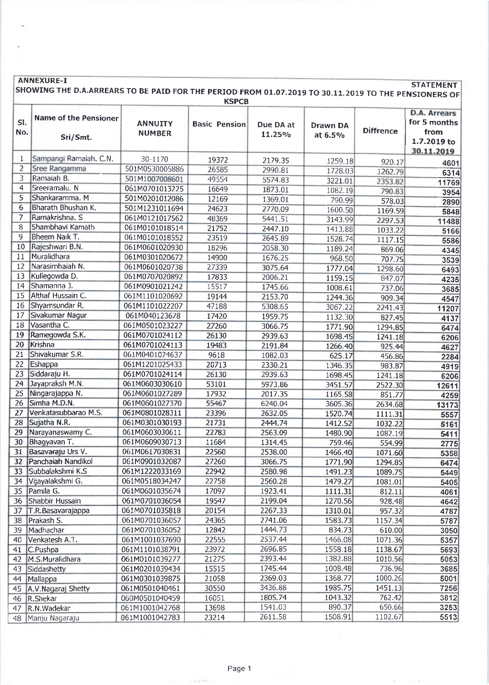|                 | <b>ANNEXURE-I</b><br><b>STATEMENT</b><br>SHOWING THE D.A.ARREARS TO BE PAID FOR THE PERIOD FROM 01.07.2019 TO 30.11.2019 TO THE PENSIONERS OF<br><b>KSPCB</b> |                                 |                      |                     |                            |                  |                                                                   |  |  |  |
|-----------------|---------------------------------------------------------------------------------------------------------------------------------------------------------------|---------------------------------|----------------------|---------------------|----------------------------|------------------|-------------------------------------------------------------------|--|--|--|
| SI.<br>No.      | <b>Name of the Pensioner</b><br>Sri/Smt.                                                                                                                      | <b>ANNUITY</b><br><b>NUMBER</b> | <b>Basic Pension</b> | Due DA at<br>11.25% | <b>Drawn DA</b><br>at 6.5% | <b>Diffrence</b> | D.A. Arrears<br>for 5 months<br>from<br>1.7.2019 to<br>30.11.2019 |  |  |  |
| 1               | Sampangi Ramaiah. C.N.                                                                                                                                        | 30-1170                         | 19372                | 2179.35             | 1259.18                    | 920.17           | 4601                                                              |  |  |  |
| 2               | Sree Rangamma                                                                                                                                                 | 501M0530005886                  | 26585                | 2990.81             | 1728.03                    | 1262.79          | 6314                                                              |  |  |  |
| 3               | Ramaiah B.                                                                                                                                                    | 501M1007008601                  | 49554                | 5574.83             | 3221.01                    | 2353.82          | 11769                                                             |  |  |  |
| 4               | Sreeramalu. N                                                                                                                                                 | 061M0701013225                  | 16649                | 1873.01             | 1082.19                    | 790.83           | 3954                                                              |  |  |  |
| 5               | Shankaramma, M                                                                                                                                                | 501M0201012086                  | 12169                | 1369.01             | 790.99                     | 578.03           | 2890                                                              |  |  |  |
| 6               | Bharath Bhushan K.                                                                                                                                            | 501M1231011694                  | 24623                | 2770.09             | 1600.50                    | 1169.59          | 5848                                                              |  |  |  |
| $\overline{7}$  | Ramakrishna. S                                                                                                                                                | 061M0121017562                  | 48369                | 5441.51             | 3143.99                    | 2297.53          | 11488                                                             |  |  |  |
| 8               | Shambhavi Kamath                                                                                                                                              | 061M0101018514                  | 21752                | 2447.10             | 1413.88                    | 1033.22          | 5166                                                              |  |  |  |
| 9               | Bheem Naik T.                                                                                                                                                 | 061M0101018552                  | 23519                | 2645.89             | 1528.74                    | 1117.15          | 5586                                                              |  |  |  |
| 10              | Rajeshwari B.N.                                                                                                                                               | 061M0601020930                  | 18296                | 2058.30             | 1189.24                    | 869.06           | 4345                                                              |  |  |  |
| 11              | Muralidhara                                                                                                                                                   | 061M0301020672                  | 14900                | 1676.25             | 968.50                     | 707.75           | 3539                                                              |  |  |  |
| 12              | Narasimhaiah N.                                                                                                                                               | 061M0601020738                  | 27339                | 3075.64             | 1777.04                    | 1298.60          | 6493                                                              |  |  |  |
| 13              | Kullegowda D.                                                                                                                                                 | 061M0707020892                  | 17833                | 2006.21             | 1159.15                    | 847.07           | 4235                                                              |  |  |  |
| 14              | Shamanna J.                                                                                                                                                   | 061M0901021242                  | 15517                | 1745.66             | 1008.61                    | 737.06           | 3685                                                              |  |  |  |
| 15              | Althaf Hussain C.                                                                                                                                             | 061M1101020692                  | 19144                | 2153.70             | 1244.36                    | 909.34           | 4547                                                              |  |  |  |
| 16              | Shyamsundar R.                                                                                                                                                | 061M1101022207                  | 47188                | 5308.65             | 3067.22                    | 2241.43          | 11207                                                             |  |  |  |
| 17              | Sivakumar Nagur                                                                                                                                               | 061M040123678                   | 17420                | 1959.75             | 1132.30                    | 827.45           | 4137                                                              |  |  |  |
| 18              | Vasantha C.                                                                                                                                                   | 061M0501023227                  | 27260                | 3066.75             | 1771.90                    | 1294.85          | 6474                                                              |  |  |  |
| 19              | Ramegowda S.K.                                                                                                                                                | 061M0701024112                  | 26130                | 2939.63             | 1698.45                    | 1241.18          | 6206                                                              |  |  |  |
| 20              | Krishna                                                                                                                                                       | 061M0701024113                  | 19483                | 2191.84             | 1266.40                    | 925.44           | 4627                                                              |  |  |  |
| $\overline{21}$ | Shivakumar S.R.                                                                                                                                               | 061M0401024637                  | 9618                 | 1082.03             | 625.17                     | 456.86           | 2284                                                              |  |  |  |
| 22              | Eshappa                                                                                                                                                       | 061M1201025433                  | 20713                | 2330.21             | 1346.35                    | 983.87           | 4919                                                              |  |  |  |
| $\overline{23}$ | Siddaraju H.                                                                                                                                                  | 061M0701024114                  | 26130                | 2939.63             | 1698.45                    | 1241.18          | 6206                                                              |  |  |  |
| 24              | Jayapraksh M.N.                                                                                                                                               | 061M0603030610                  | 53101                | 5973.86             | 3451.57                    | 2522.30          | 12611                                                             |  |  |  |
| 25              | Ningarajappa N.                                                                                                                                               | 061M0601027289                  | 17932                | 2017.35             | 1165.58                    | 851.77           | 4259                                                              |  |  |  |
| 26              | Simha M.D.N.                                                                                                                                                  | 061M0601027370                  | 55467                | 6240.04             | 3605.36                    | 2634.68          | 13173                                                             |  |  |  |
| 27              | Venkatasubbarao M.S.                                                                                                                                          | 061M0801028311                  | 23396                | 2632.05             | 1520.74                    | 1111.31          | 5557                                                              |  |  |  |
| 28              | Sujatha N.R.                                                                                                                                                  | 061M0301030193                  | 21731                | 2444.74             | 1412.52                    | 1032.22          | 5161                                                              |  |  |  |
| 29              | Narayanaswamy C.                                                                                                                                              | 061M0603030611                  | 22783                | 2563.09             | 1480.90                    | 1082.19          | 5411                                                              |  |  |  |
|                 | 30 Bhagyavan T.                                                                                                                                               | 061M0609030713                  | 11684                | 1314.45             | 759.46                     | 554.99           | 2775                                                              |  |  |  |
|                 | 31 Basavaraju Urs V.                                                                                                                                          | 061M0617030831                  | 22560                | 2538.00             | 1466.40                    | 1071.60          | 5358                                                              |  |  |  |
|                 | 32 Panchaiah Nandikol                                                                                                                                         | 061M0901032087                  | 27260                | 3066.75             | 1771.90                    | 1294.85          | 6474                                                              |  |  |  |
|                 | 33 Subbalakshmi K.S                                                                                                                                           | 061M1222033169                  | 22942                | 2580.98             | 1491.23                    | 1089.75          | 5449                                                              |  |  |  |
| 34              | Vijayalakshmi G.                                                                                                                                              | 061M0518034247                  | 22758                | 2560.28             | 1479.27                    | 1081.01          | 5405                                                              |  |  |  |
| 35              | Pamila G.                                                                                                                                                     | 061M0601035674                  | 17097                | 1923.41             | 1111.31                    | 812.11           | 4061                                                              |  |  |  |
|                 | 36 Shabbir Hussain                                                                                                                                            | 061M0701036054                  | 19547                | 2199.04             | 1270.56                    | 928.48           | 4642                                                              |  |  |  |
| 37              | T.R.Basavarajappa                                                                                                                                             | 061M0701035818                  | 20154                | 2267.33             | 1310.01                    | 957.32           | 4787                                                              |  |  |  |
| 38              | Prakash S.                                                                                                                                                    | 061M0701036057                  | 24365                | 2741.06             | 1583.73                    | 1157.34          | 5787                                                              |  |  |  |
| 39              | Madhachar                                                                                                                                                     | 061M0701036052                  | 12842                | 1444.73             | 834.73                     | 610.00           | 3050                                                              |  |  |  |
| 40              | Venkatesh A.T.                                                                                                                                                | 061M1001037690                  | 22555                | 2537.44             | 1466.08                    | 1071.36          | 5357                                                              |  |  |  |
| 41              | C.Pushpa                                                                                                                                                      | 061M1101038791                  | 23972                | 2696.85             | 1558.18                    | 1138.67          | 5693                                                              |  |  |  |
| 42              | M.S.Muralidhara                                                                                                                                               | 061M0101039277                  | 21275                | 2393.44             | 1382.88                    | 1010.56          | 5053                                                              |  |  |  |
| 43              | Siddashetty                                                                                                                                                   | 061M0201039434                  | 15515                | 1745.44             | 1008.48                    | 736.96           | 3685                                                              |  |  |  |
| 44              | Mallappa                                                                                                                                                      | 061M0301039875                  | 21058                | 2369.03             | 1368.77                    | 1000.26          | 5001                                                              |  |  |  |
|                 | 45 A.V. Nagaraj Shetty                                                                                                                                        | 061M0501040461                  | 30550                | 3436.88             | 1985.75                    | 1451.13          | 7256                                                              |  |  |  |
| 46.             | R.Shekar                                                                                                                                                      | 060M0501040459                  | 16051                | 1805.74             | 1043.32                    | 762.42           | 3812                                                              |  |  |  |
| 47              | R.N.Wadekar                                                                                                                                                   | 061M1001042768                  | 13698                | 1541.03             | 890.37                     | 650.66           | 3253                                                              |  |  |  |
| 48              | Manju Nagaraju                                                                                                                                                | 061M1001042783                  | 23214                | 2611.58             | 1508.91                    | 1102.67          | 5513                                                              |  |  |  |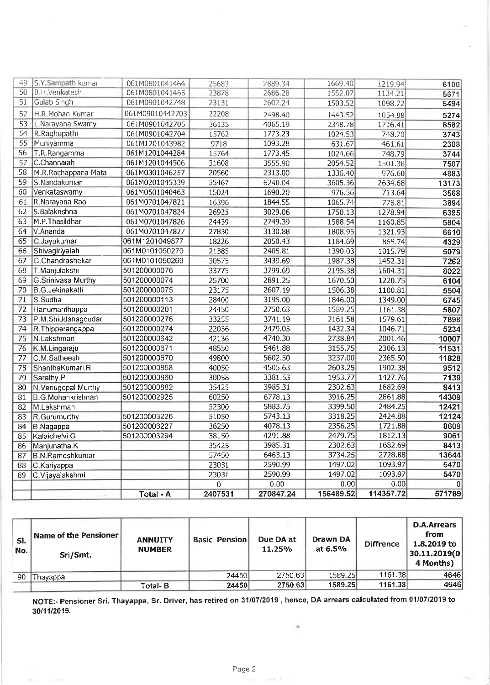| 49              | S.Y.Sampath kumar        | 061M0801041464   | 25683   | 2889.34            | 1669.40   | 1219.94   | 6100   |
|-----------------|--------------------------|------------------|---------|--------------------|-----------|-----------|--------|
| 50              | <b>B.H.Venkatesh</b>     | 061M0801041465   | 23878   | 2686.28            | 1552.07   | 1134.21   | 5671   |
| 51              | Gulab Singh              | 061M0901042748   | 23131   | 2602.24            | 1503.52   | 1098.72   | 5494   |
| 52              | H.R.Mohan Kumar          | 061M09010442703  | 22208   | 2498.40<br>1443.52 |           | 1054.88   | 5274   |
| 53              | L.Narayana Swamy         | 061M0901042705   | 36135   | 4065.19            | 2348.78   | 1716.41   | 8582   |
| 54              | R.Raghupathi             | 061M0901042704   | 15762   | 1773.23            | 1024.53   | 748.70    | 3743   |
| 55              | Muniyamma                | 061M1201043982   | 9718    | 1093.28            | 631.67    | 461.61    | 2308   |
| 56              | T.R.Rangamma             | 061M1201044284   | 15764   | 1773.45            | 1024.66   | 748.79    | 3744   |
| 57              | C.Channaiah              | 061M1201044506   | 31608   | 3555.90            | 2054.52   | 1501.38   | 7507   |
| 58              | M.R.Rachappana Mata      | 061M0301046257   | 20560   | 2313.00            | 1336.40   | 976.60    | 4883   |
| 59              | lS.Nandakumar            | 061M0201045339   | 55467   | 6240.04            | 3605.36   | 2634.68   | 13173  |
| 60              | Venkataswamy             | 061M0501040463   | 15024   | 1690.20            | 976.56    | 713.64    | 3568   |
| 61              | R.Narayana Rao           | 061M0701047821   | 16396   | 1844.55            | 1065.74   | 778.81    | 3894   |
| 62              | S.Balakrishna            | 061M0701047824   | 26925   | 3029.06            | 1750.13   | 1278.94   | 6395   |
| 63              | M.P. Thasildhar          | 061M0701047826   | 24439   | 2749.39            | 1588.54   | 1160.85   | 5804   |
| 64              | V.Ananda                 | 061M0701047827   | 27830   | 3130.88            | 1808.95   | 1321.93   | 6610   |
| 65              | C.Jayakumar              | 061M1201049877   | 18226   | 2050.43            | 1184.69   | 865.74    | 4329   |
| 66              | Shivagiriyaiah           | 061M0101050270   | 21385   | 2405.81            | 1390.03   | 1015.79   | 5079   |
| 67              | G.Chandrashekar          | 061M0101050269   | 30575   | 3439.69            | 1987.38   | 1452.31   | 7262   |
| 68              | T.Manjulakshi            | 501200000076     | 33775   | 3799.69            | 2195.38   | 1604.31   | 8022   |
| 69              | G.Srinivasa Murthy       | 501200000074     | 25700   | 2891.25            | 1670.50   | 1220.75   | 6104   |
| 70              | <b>B.G.Jekinakatti</b>   | 501200000075     | 23175   | 2607.19            | 1506.38   | 1100.81   | 5504   |
| $\overline{71}$ | S.Sudha                  | 501200000113     | 28400   | 3195.00            | 1846.00   | 1349.00   | 6745   |
| $\overline{72}$ | Hanumanthappa            | 501200000201     | 24450   | 2750.63            | 1589.25   | 1161.38   | 5807   |
| 73              | P.M.Shiddanagoudar       | 501200000276     | 33255   | 3741.19            | 2161.58   | 1579.61   | 7898   |
| 74              | R.Thipperangappa         | 501200000274     | 22036   | 2479.05            | 1432.34   | 1046.71   | 5234   |
| 75              | N.Lakshman               | 501200000642     | 42136   | 4740.30            | 2738.84   | 2001.46   | 10007  |
| 76              | K.M.Lingaraju            | 501200000671     | 48550   | 5461.88            | 3155.75   | 2306.13   | 11531  |
| $\overline{77}$ | C.M.Satheesh             | 501200000670     | 49800   | 5602.50            | 3237.00   | 2365.50   | 11828  |
| 78              | ShanthaKumari.R          | 501200000858     | 40050   | 4505.63            | 2603.25   | 1902.38   | 9512   |
| 79              | Sarathy.P                | 501200000860     | 30058   | 3381.53            | 1953.77   | 1427.76   | 7139   |
| 80              | N.Venugopal Murthy       | 501200000882     | 35425   | 3985.31            | 2302.63   | 1682.69   | 8413   |
| 81              | <b>B.G.Mohankrishnan</b> | 501200002925     | 60250   | 6778.13            | 3916.25   | 2861.88   | 14309  |
| 82              | M.Lakshman               |                  | 52300   | 5883.75            | 3399.50   | 2484.25   | 12421  |
| 83              | R.Gurumurthy             | 501200003226     | 51050   | 5743.13            | 3318.25   | 2424.88   | 12124  |
| 84              | B.Nagappa                | 501200003227     | 36250   | 4078.13            | 2356.25   | 1721.88   | 8609   |
| 85              | Kalaichelvi.G            | 501200003294     | 38150   | 4291.88            | 2479.75   | 1812.13   | 9061   |
| 86              | Manjunatha.K             |                  | 35425   | 3985.31            | 2302.63   | 1682.69   | 8413   |
| 87              | <b>B.N.Rameshkumar</b>   |                  | 57450   | 6463.13            | 3734.25   | 2728.88   | 13644  |
| 88              | C.Kariyappa              |                  | 23031   | 2590.99            | 1497.02   | 1093.97   | 5470   |
| 89              | C.Vijayalakshmi          |                  | 23031   | 2590.99            | 1497.02   | 1093.97   | 5470   |
|                 |                          |                  | 0       | 0.00               | 0.00      | 0.00      | 0      |
|                 |                          | <b>Total - A</b> | 2407531 | 270847.24          | 156489.52 | 114357.72 | 571789 |

| SI.<br>No. | Name of the Pensioner<br>Sri/Smt. | <b>ANNUITY</b><br><b>NUMBER</b> | <b>Basic Pension</b> | Due DA at<br>11.25% | Drawn DA<br>at 6.5% | <b>Diffrence</b> | <b>D.A.Arrears</b><br>from<br>1.8.2019 to<br>30.11.2019(0<br>4 Months) |  |
|------------|-----------------------------------|---------------------------------|----------------------|---------------------|---------------------|------------------|------------------------------------------------------------------------|--|
| 90         | Thayappa                          |                                 | 24450                | 2750.63             | 1589.25             | 1161.38          | 4646                                                                   |  |
|            |                                   | <b>Total-B</b>                  | 24450                | 2750.63             | 1589.25             | 1161.38          | 4646                                                                   |  |

NOTE:- Pensioner Sri. Thayappa, Sr. Driver, has retired on 31/07/2019, hence, DA arrears calculated from 01/07/2019 to 30/11/2019.

 $\alpha$ 

÷.

 $\label{eq:1.1} \frac{1}{2} \frac{1}{2} \frac{1}{2} \frac{1}{2} \frac{1}{2} \frac{1}{2} \frac{1}{2} \frac{1}{2}$ 

 $\sigma$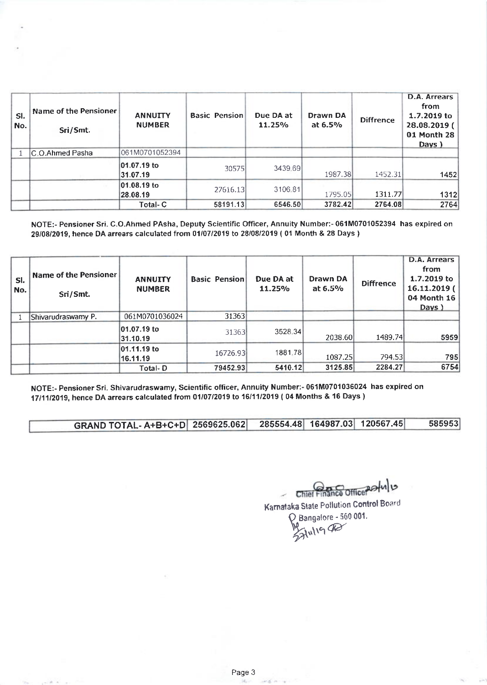| SI.<br>No. | Name of the Pensioner<br>Sri/Smt. | <b>ANNUITY</b><br><b>NUMBER</b> | <b>Basic Pension</b> | Due DA at<br>11.25% | Drawn DA<br>at $6.5\%$ | <b>Diffrence</b> | D.A. Arrears<br>from<br>1.7.2019 to<br>28.08.2019 (<br>01 Month 28<br>Davs ) |
|------------|-----------------------------------|---------------------------------|----------------------|---------------------|------------------------|------------------|------------------------------------------------------------------------------|
|            | C.O.Ahmed Pasha                   | 061M0701052394                  |                      |                     |                        |                  |                                                                              |
|            |                                   | 01.07.19 to<br>31.07.19         | 30575                | 3439.69             | 1987.38                | 1452.31          | 1452                                                                         |
|            |                                   | 01.08.19 to<br>28.08.19         | 27616.13             | 3106.81             | 1795.05                | 1311.77          | 1312                                                                         |
|            |                                   | Total-C                         | 58191.13             | 6546.50             | 3782.42                | 2764.08          | 2764                                                                         |

NOTE:- Pensioner Sri. C.O.Ahmed PAsha, Deputy Scientific Officer, Annuity Number:- 061M0701052394 has expired on 2910812019, hence DA arrears calculated from 0110712019 to 28/08/2019 ( 01 Month & 28 Days )

| SI.<br>No. | <b>Name of the Pensioner</b><br>Sri/Smt. | <b>ANNUITY</b><br><b>NUMBER</b> | <b>Basic Pension</b> | Due DA at<br>11.25% | Drawn DA<br>at $6.5%$ | <b>Diffrence</b> | D.A. Arrears<br>from<br>1.7.2019 to<br>$16.11.2019$ (<br>04 Month 16<br>Days) |
|------------|------------------------------------------|---------------------------------|----------------------|---------------------|-----------------------|------------------|-------------------------------------------------------------------------------|
|            | Shivarudraswamy P.                       | 061M0701036024                  | 31363                |                     |                       |                  |                                                                               |
|            |                                          | 01.07.19 to<br>31.10.19         | 31363                | 3528.34             | 2038.60               | 1489.74          | 5959                                                                          |
|            |                                          | 01.11.19 to<br>16.11.19         | 16726.93             | 1881.78             | 1087.25               | 794.53           | 795                                                                           |
|            |                                          | Total-D                         | 79452.93             | 5410.12             | 3125.85               | 2284.27          | 6754                                                                          |

NOTE:- Pensioner Sri. Shivarudraswamy, Scientific officer, Annuity Number:- 061M0701036024 has expired on 17/11/2019, hence DA arrears calculated from 01/07/2019 to 16/11/2019 ( 04 Months & 16 Days )

GRAND TOTAL- A+B+C+D 2569625.062 285554.48 164987.03 120567.45 585953

Chief Finance Officer<br>Kamataka State Pollution Control Board

 $Q$  Bangalore - 560 001.  $371198$ 

 $-20.4$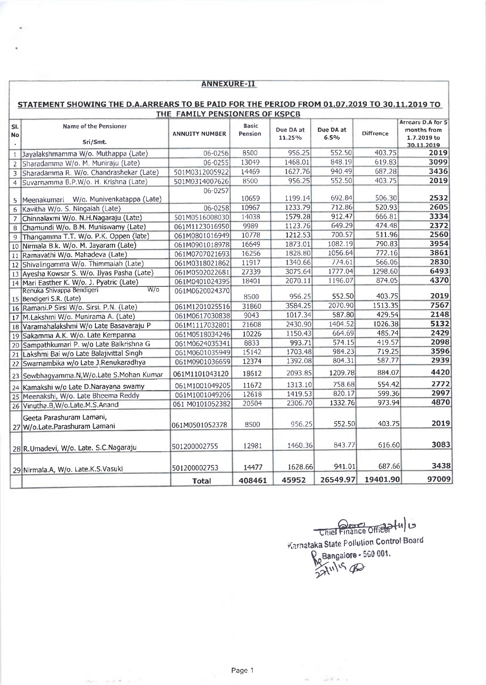|                                                                                                                                | <b>ANNEXURE-II</b>                                                                                                                                                                |                 |        |         |          |          |                    |  |  |
|--------------------------------------------------------------------------------------------------------------------------------|-----------------------------------------------------------------------------------------------------------------------------------------------------------------------------------|-----------------|--------|---------|----------|----------|--------------------|--|--|
| STATEMENT SHOWING THE D.A.ARREARS TO BE PAID FOR THE PERIOD FROM 01.07.2019 TO 30.11.2019 TO<br>THE FAMILY PENSIONERS OF KSPCB |                                                                                                                                                                                   |                 |        |         |          |          |                    |  |  |
| SI.<br><b>No</b>                                                                                                               | Arrears D.A for 5<br><b>Name of the Pensioner</b><br><b>Basic</b><br>Due DA at<br>Due DA at<br><b>Diffrence</b><br><b>ANNUITY NUMBER</b><br>Pension<br>6.5%<br>11.25%<br>Sri/Smt. |                 |        |         |          |          |                    |  |  |
| $\mathbf{1}$                                                                                                                   | Jayalakshmamma W/o. Muthappa (Late)                                                                                                                                               | 06-0256         | 8500   | 956.25  | 552.50   | 403.75   | 30.11.2019<br>2019 |  |  |
| $\overline{2}$                                                                                                                 | Sharadamma W/o. M. Muniraju (Late)                                                                                                                                                | 06-0255         | 13049  | 1468.01 | 848.19   | 619.83   | 3099               |  |  |
| 3                                                                                                                              | Sharadamma R. W/o. Chandrashekar (Late)                                                                                                                                           | 501M0312005922  | 14469  | 1627.76 | 940.49   | 687.28   | 3436               |  |  |
| $\overline{4}$                                                                                                                 | Suvarnamma B.P.W/o. H. Krishna (Late)                                                                                                                                             | 501M0314007626  | 8500   | 956.25  | 552.50   | 403.75   | 2019               |  |  |
|                                                                                                                                | 5 Meenakumari W/o. Munivenkatappa (Late)                                                                                                                                          | 06-0257         | 10659  | 1199.14 | 692.84   | 506.30   | 2532               |  |  |
| 6                                                                                                                              | Kavitha W/o. S. Ningaiah (Late)                                                                                                                                                   | 06-0258         | 10967  | 1233.79 | 712.86   | 520.93   | 2605               |  |  |
| $\overline{7}$                                                                                                                 | Chinnalaxmi W/o. N.H.Nagaraju (Late)                                                                                                                                              | 501M0516008030  | 14038  | 1579.28 | 912.47   | 666.81   | 3334               |  |  |
| 8                                                                                                                              | Chamundi W/o. B.M. Muniswamy (Late)                                                                                                                                               | 061M1123016950  | 9989   | 1123.76 | 649.29   | 474.48   | 2372               |  |  |
|                                                                                                                                | 9 Thangamma T.T. W/o. P.K. Oppen (late)                                                                                                                                           | 061M0801016949  | 10778  | 1212.53 | 700.57   | 511.96   | 2560               |  |  |
|                                                                                                                                | 10 Nirmala B.k. W/o. M. Jayaram (Late)                                                                                                                                            | 061M0901018978  | 16649  | 1873.01 | 1082.19  | 790.83   | 3954               |  |  |
|                                                                                                                                | 11 Ramavathi W/o. Mahadeva (Late)                                                                                                                                                 | 061M0707021693  | 16256  | 1828.80 | 1056.64  | 772.16   | 3861               |  |  |
|                                                                                                                                | 12 Shivalingamma W/o. Thimmaiah (Late)                                                                                                                                            | 061M0318021862  | 11917  | 1340.66 | 774.61   | 566.06   | 2830               |  |  |
|                                                                                                                                | 13 Ayesha Kowsar S. W/o. Ilyas Pasha (Late)                                                                                                                                       | 061M0502022681  | 27339  | 3075.64 | 1777.04  | 1298.60  | 6493               |  |  |
|                                                                                                                                | 14 Mari Easther K. W/o. J. Pyatric (Late)                                                                                                                                         | 061M0401024395  | 18401  | 2070.11 | 1196.07  | 874.05   | 4370               |  |  |
|                                                                                                                                | $W$ / $\sigma$<br>Renuka Shivappa Bendigeri<br>15 Bendigeri S.R. (Late)                                                                                                           | 061M0620024370  | 8500   | 956.25  | 552.50   | 403.75   | 2019               |  |  |
|                                                                                                                                | 16 Ramani.P Sirsi W/o. Sirsi. P.N. (Late)                                                                                                                                         | 061M1201025516  | 31860  | 3584.25 | 2070.90  | 1513.35  | 7567               |  |  |
|                                                                                                                                | 17 M.Lakshmi W/o. Munirama A. (Late)                                                                                                                                              | 061M0617030838  | 9043   | 1017.34 | 587.80   | 429.54   | 2148               |  |  |
|                                                                                                                                | 18 Varamahalakshmi W/o Late Basavaraju P                                                                                                                                          | 061M1117032801  | 21608  | 2430.90 | 1404.52  | 1026.38  | 5132               |  |  |
|                                                                                                                                | 19 Sakamma A.K. W/o. Late Kempanna                                                                                                                                                | 061M0518034246  | 10226  | 1150.43 | 664.69   | 485.74   | 2429               |  |  |
|                                                                                                                                | 20 Sampathkumari P. w/o Late Balkrishna G                                                                                                                                         | 061M0624035341  | 8833   | 993.71  | 574.15   | 419.57   | 2098               |  |  |
|                                                                                                                                | 21 Lakshmi Bai w/o Late Balajivittal Singh                                                                                                                                        | 061M0601035949  | 15142  | 1703.48 | 984.23   | 719.25   | 3596               |  |  |
|                                                                                                                                | 22 Swarnambika w/o Late J.Renukaradhya                                                                                                                                            | 061M0901036659  | 12374  | 1392.08 | 804.31   | 587.77   | 2939               |  |  |
|                                                                                                                                | 23 Sowbhagyamma.N, W/o.Late S.Mohan Kumar                                                                                                                                         | 061M1101043120  | 18612  | 2093.85 | 1209.78  | 884.07   | 4420               |  |  |
|                                                                                                                                | 24 Kamakshi w/o Late D.Narayana swamy                                                                                                                                             | 061M1001049205  | 11672  | 1313.10 | 758.68   | 554.42   | 2772               |  |  |
|                                                                                                                                | 25 Meenakshi, W/o. Late Bheema Reddy                                                                                                                                              | 061M1001049206  | 12618  | 1419.53 | 820.17   | 599.36   | 2997               |  |  |
|                                                                                                                                | 26 Vinutha.B, W/o.Late.M.S.Anand                                                                                                                                                  | 061 M0101052382 | 20504  | 2306.70 | 1332.76  | 973.94   | 4870               |  |  |
|                                                                                                                                | Geeta Parashuram Lamani,<br>27 W/o.Late.Parashuram Lamani                                                                                                                         | 061M0501052378  | 8500   | 956.25  | 552.50   | 403.75   | 2019               |  |  |
|                                                                                                                                | 28 R.Umadevi, W/o. Late. S.C.Nagaraju                                                                                                                                             | 501200002755    | 12981  | 1460.36 | 843.77   | 616.60   | 3083               |  |  |
|                                                                                                                                | 29 Nirmala.A, W/o. Late.K.S.Vasuki                                                                                                                                                | 501200002753    | 14477  | 1628.66 | 941.01   | 687.66   | 3438               |  |  |
|                                                                                                                                |                                                                                                                                                                                   | <b>Total</b>    | 408461 | 45952   | 26549.97 | 19401.90 | 97009              |  |  |

Chief Finance Office Hu Karnataka State Pollution Control Board  $\rm{Q_{o}}$ Bangalore - 560 001. Bytulis of

 $\mathcal{A}_k$  ,  $\mathcal{A}_k$  ,  $\mathcal{A}_k$ 

Next case of